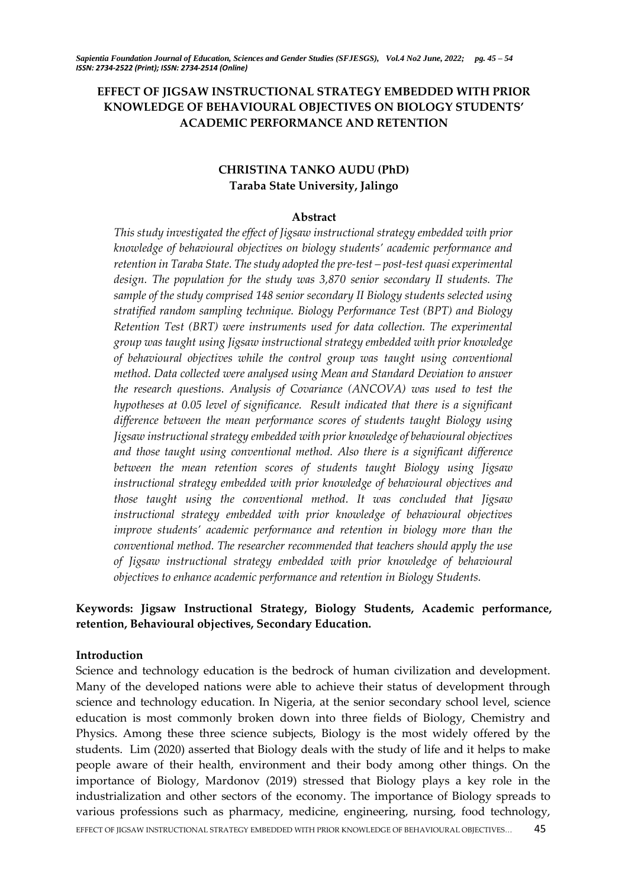# **EFFECT OF JIGSAW INSTRUCTIONAL STRATEGY EMBEDDED WITH PRIOR KNOWLEDGE OF BEHAVIOURAL OBJECTIVES ON BIOLOGY STUDENTS' ACADEMIC PERFORMANCE AND RETENTION**

# **CHRISTINA TANKO AUDU (PhD) Taraba State University, Jalingo**

#### **Abstract**

*This study investigated the effect of Jigsaw instructional strategy embedded with prior knowledge of behavioural objectives on biology students' academic performance and retention in Taraba State. The study adopted the pre-test – post-test quasi experimental design. The population for the study was 3,870 senior secondary II students. The sample of the study comprised 148 senior secondary II Biology students selected using stratified random sampling technique. Biology Performance Test (BPT) and Biology Retention Test (BRT) were instruments used for data collection. The experimental group was taught using Jigsaw instructional strategy embedded with prior knowledge of behavioural objectives while the control group was taught using conventional method. Data collected were analysed using Mean and Standard Deviation to answer the research questions. Analysis of Covariance (ANCOVA) was used to test the hypotheses at 0.05 level of significance. Result indicated that there is a significant difference between the mean performance scores of students taught Biology using Jigsaw instructional strategy embedded with prior knowledge of behavioural objectives and those taught using conventional method. Also there is a significant difference between the mean retention scores of students taught Biology using Jigsaw instructional strategy embedded with prior knowledge of behavioural objectives and those taught using the conventional method. It was concluded that Jigsaw instructional strategy embedded with prior knowledge of behavioural objectives improve students' academic performance and retention in biology more than the conventional method. The researcher recommended that teachers should apply the use of Jigsaw instructional strategy embedded with prior knowledge of behavioural objectives to enhance academic performance and retention in Biology Students.*

# **Keywords: Jigsaw Instructional Strategy, Biology Students, Academic performance, retention, Behavioural objectives, Secondary Education.**

## **Introduction**

EFFECT OF IIGSAW INSTRUCTIONAL STRATEGY EMBEDDED WITH PRIOR KNOWLEDGE OF BEHAVIOURAL OBJECTIVES… 45 Science and technology education is the bedrock of human civilization and development. Many of the developed nations were able to achieve their status of development through science and technology education. In Nigeria, at the senior secondary school level, science education is most commonly broken down into three fields of Biology, Chemistry and Physics. Among these three science subjects, Biology is the most widely offered by the students. Lim (2020) asserted that Biology deals with the study of life and it helps to make people aware of their health, environment and their body among other things. On the importance of Biology, Mardonov (2019) stressed that Biology plays a key role in the industrialization and other sectors of the economy. The importance of Biology spreads to various professions such as pharmacy, medicine, engineering, nursing, food technology,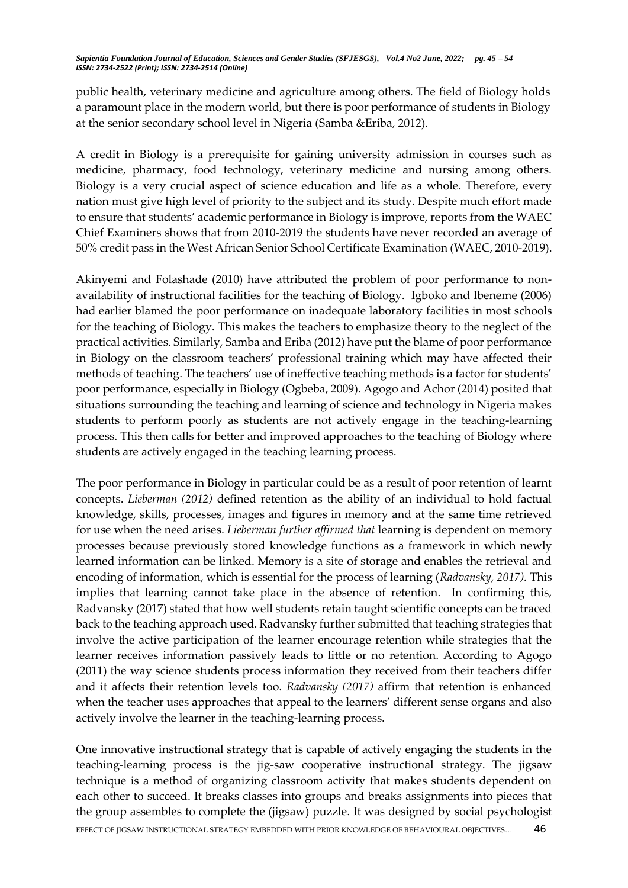public health, veterinary medicine and agriculture among others. The field of Biology holds a paramount place in the modern world, but there is poor performance of students in Biology at the senior secondary school level in Nigeria (Samba &Eriba, 2012).

A credit in Biology is a prerequisite for gaining university admission in courses such as medicine, pharmacy, food technology, veterinary medicine and nursing among others. Biology is a very crucial aspect of science education and life as a whole. Therefore, every nation must give high level of priority to the subject and its study. Despite much effort made to ensure that students' academic performance in Biology is improve, reports from the WAEC Chief Examiners shows that from 2010-2019 the students have never recorded an average of 50% credit pass in the West African Senior School Certificate Examination (WAEC, 2010-2019).

Akinyemi and Folashade (2010) have attributed the problem of poor performance to nonavailability of instructional facilities for the teaching of Biology. Igboko and Ibeneme (2006) had earlier blamed the poor performance on inadequate laboratory facilities in most schools for the teaching of Biology. This makes the teachers to emphasize theory to the neglect of the practical activities. Similarly, Samba and Eriba (2012) have put the blame of poor performance in Biology on the classroom teachers' professional training which may have affected their methods of teaching. The teachers' use of ineffective teaching methods is a factor for students' poor performance, especially in Biology (Ogbeba, 2009). Agogo and Achor (2014) posited that situations surrounding the teaching and learning of science and technology in Nigeria makes students to perform poorly as students are not actively engage in the teaching-learning process. This then calls for better and improved approaches to the teaching of Biology where students are actively engaged in the teaching learning process.

The poor performance in Biology in particular could be as a result of poor retention of learnt concepts. *Lieberman (2012)* defined retention as the ability of an individual to hold factual knowledge, skills, processes, images and figures in memory and at the same time retrieved for use when the need arises. *Lieberman further affirmed that* learning is dependent on memory processes because previously stored knowledge functions as a framework in which newly learned information can be linked. Memory is a site of storage and enables the retrieval and encoding of information, which is essential for the process of learning (*Radvansky, 2017).* This implies that learning cannot take place in the absence of retention. In confirming this, Radvansky (2017) stated that how well students retain taught scientific concepts can be traced back to the teaching approach used. Radvansky further submitted that teaching strategies that involve the active participation of the learner encourage retention while strategies that the learner receives information passively leads to little or no retention. According to Agogo (2011) the way science students process information they received from their teachers differ and it affects their retention levels too. *Radvansky (2017)* affirm that retention is enhanced when the teacher uses approaches that appeal to the learners' different sense organs and also actively involve the learner in the teaching-learning process.

EFFECT OF JIGSAW INSTRUCTIONAL STRATEGY EMBEDDED WITH PRIOR KNOWLEDGE OF BEHAVIOURAL OBJECTIVES... 46 One innovative instructional strategy that is capable of actively engaging the students in the teaching-learning process is the jig-saw cooperative instructional strategy. The jigsaw technique is a method of organizing classroom activity that makes students dependent on each other to succeed. It breaks classes into groups and breaks assignments into pieces that the group assembles to complete the (jigsaw) puzzle. It was designed by social psychologist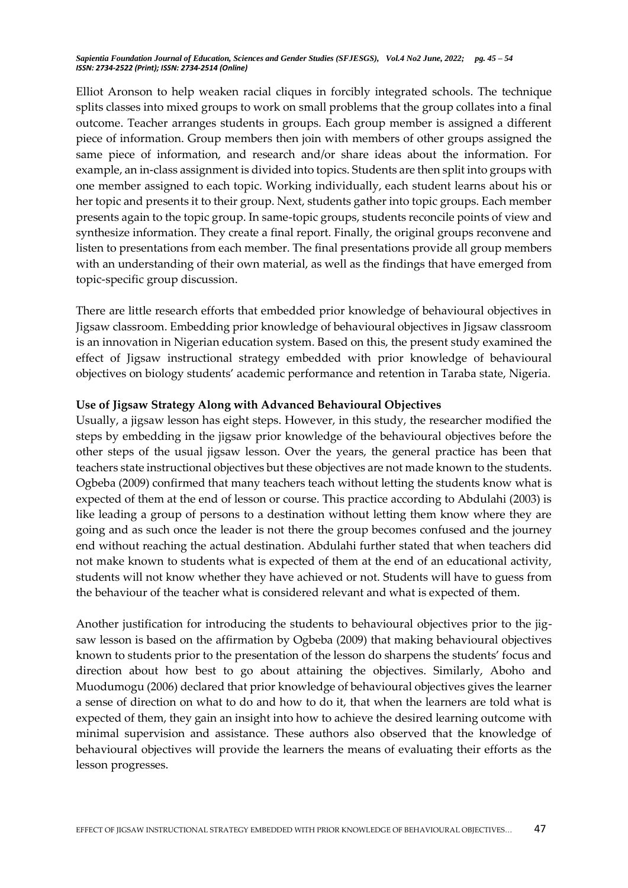Elliot Aronson to help weaken racial cliques in forcibly integrated schools. The technique splits classes into mixed groups to work on small problems that the group collates into a final outcome. Teacher arranges students in groups. Each group member is assigned a different piece of information. Group members then join with members of other groups assigned the same piece of information, and research and/or share ideas about the information. For example, an in-class assignment is divided into topics. Students are then split into groups with one member assigned to each topic. Working individually, each student learns about his or her topic and presents it to their group. Next, students gather into topic groups. Each member presents again to the topic group. In same-topic groups, students reconcile points of view and synthesize information. They create a final report. Finally, the original groups reconvene and listen to presentations from each member. The final presentations provide all group members with an understanding of their own material, as well as the findings that have emerged from topic-specific group discussion.

There are little research efforts that embedded prior knowledge of behavioural objectives in Jigsaw classroom. Embedding prior knowledge of behavioural objectives in Jigsaw classroom is an innovation in Nigerian education system. Based on this, the present study examined the effect of Jigsaw instructional strategy embedded with prior knowledge of behavioural objectives on biology students' academic performance and retention in Taraba state, Nigeria.

#### **Use of Jigsaw Strategy Along with Advanced Behavioural Objectives**

Usually, a jigsaw lesson has eight steps. However, in this study, the researcher modified the steps by embedding in the jigsaw prior knowledge of the behavioural objectives before the other steps of the usual jigsaw lesson. Over the years, the general practice has been that teachers state instructional objectives but these objectives are not made known to the students. Ogbeba (2009) confirmed that many teachers teach without letting the students know what is expected of them at the end of lesson or course. This practice according to Abdulahi (2003) is like leading a group of persons to a destination without letting them know where they are going and as such once the leader is not there the group becomes confused and the journey end without reaching the actual destination. Abdulahi further stated that when teachers did not make known to students what is expected of them at the end of an educational activity, students will not know whether they have achieved or not. Students will have to guess from the behaviour of the teacher what is considered relevant and what is expected of them.

Another justification for introducing the students to behavioural objectives prior to the jigsaw lesson is based on the affirmation by Ogbeba (2009) that making behavioural objectives known to students prior to the presentation of the lesson do sharpens the students' focus and direction about how best to go about attaining the objectives. Similarly, Aboho and Muodumogu (2006) declared that prior knowledge of behavioural objectives gives the learner a sense of direction on what to do and how to do it, that when the learners are told what is expected of them, they gain an insight into how to achieve the desired learning outcome with minimal supervision and assistance. These authors also observed that the knowledge of behavioural objectives will provide the learners the means of evaluating their efforts as the lesson progresses.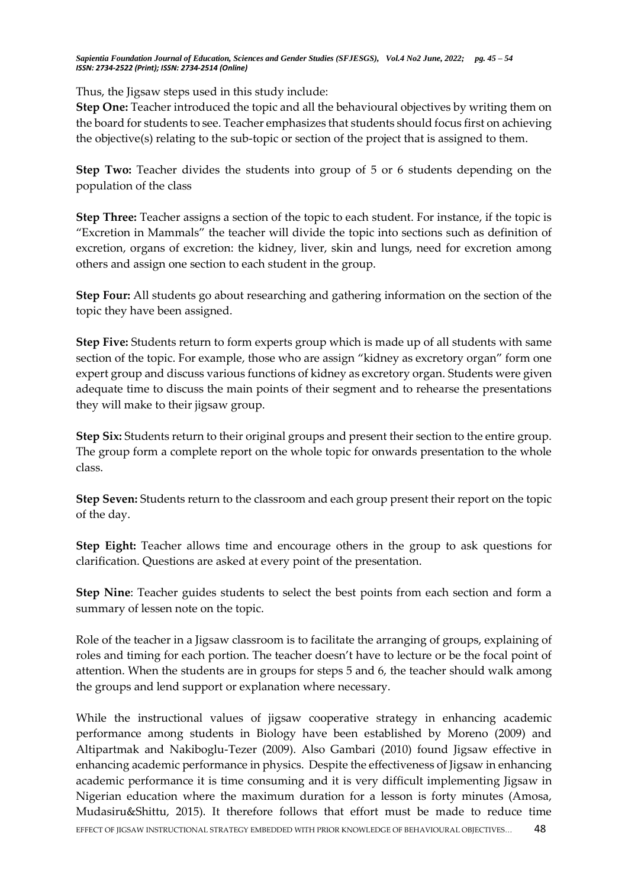Thus, the Jigsaw steps used in this study include:

**Step One:** Teacher introduced the topic and all the behavioural objectives by writing them on the board for students to see. Teacher emphasizes that students should focus first on achieving the objective(s) relating to the sub-topic or section of the project that is assigned to them.

**Step Two:** Teacher divides the students into group of 5 or 6 students depending on the population of the class

**Step Three:** Teacher assigns a section of the topic to each student. For instance, if the topic is "Excretion in Mammals" the teacher will divide the topic into sections such as definition of excretion, organs of excretion: the kidney, liver, skin and lungs, need for excretion among others and assign one section to each student in the group.

**Step Four:** All students go about researching and gathering information on the section of the topic they have been assigned.

**Step Five:** Students return to form experts group which is made up of all students with same section of the topic. For example, those who are assign "kidney as excretory organ" form one expert group and discuss various functions of kidney as excretory organ. Students were given adequate time to discuss the main points of their segment and to rehearse the presentations they will make to their jigsaw group.

**Step Six:** Students return to their original groups and present their section to the entire group. The group form a complete report on the whole topic for onwards presentation to the whole class.

**Step Seven:** Students return to the classroom and each group present their report on the topic of the day.

**Step Eight:** Teacher allows time and encourage others in the group to ask questions for clarification. Questions are asked at every point of the presentation.

**Step Nine**: Teacher guides students to select the best points from each section and form a summary of lessen note on the topic.

Role of the teacher in a Jigsaw classroom is to facilitate the arranging of groups, explaining of roles and timing for each portion. The teacher doesn't have to lecture or be the focal point of attention. When the students are in groups for steps 5 and 6, the teacher should walk among the groups and lend support or explanation where necessary.

EFFECT OF IIGSAW INSTRUCTIONAL STRATEGY EMBEDDED WITH PRIOR KNOWLEDGE OF BEHAVIOURAL OBJECTIVES... 48 While the instructional values of jigsaw cooperative strategy in enhancing academic performance among students in Biology have been established by Moreno (2009) and Altipartmak and Nakiboglu-Tezer (2009). Also Gambari (2010) found Jigsaw effective in enhancing academic performance in physics. Despite the effectiveness of Jigsaw in enhancing academic performance it is time consuming and it is very difficult implementing Jigsaw in Nigerian education where the maximum duration for a lesson is forty minutes (Amosa, Mudasiru&Shittu, 2015). It therefore follows that effort must be made to reduce time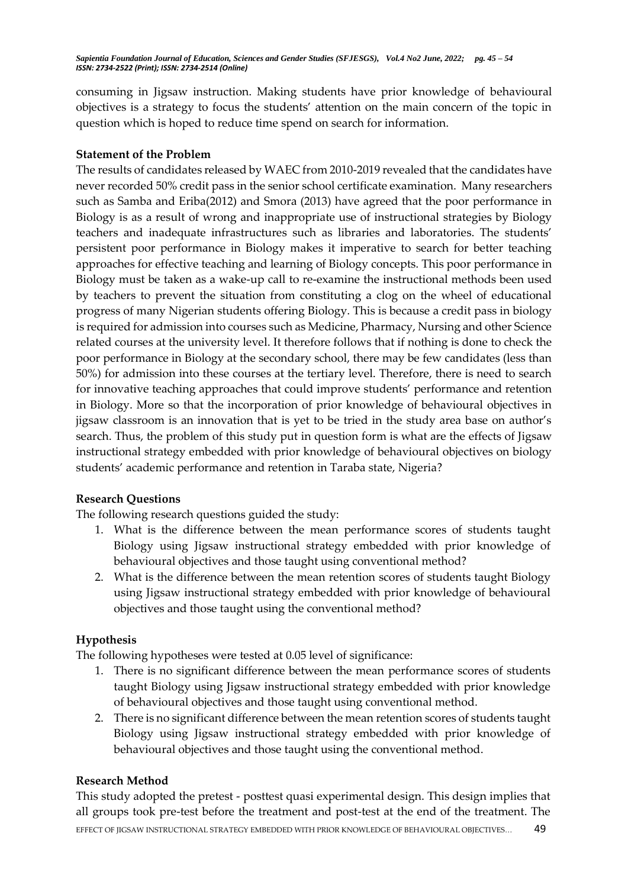consuming in Jigsaw instruction. Making students have prior knowledge of behavioural objectives is a strategy to focus the students' attention on the main concern of the topic in question which is hoped to reduce time spend on search for information.

## **Statement of the Problem**

The results of candidates released by WAEC from 2010-2019 revealed that the candidates have never recorded 50% credit pass in the senior school certificate examination. Many researchers such as Samba and Eriba(2012) and Smora (2013) have agreed that the poor performance in Biology is as a result of wrong and inappropriate use of instructional strategies by Biology teachers and inadequate infrastructures such as libraries and laboratories. The students' persistent poor performance in Biology makes it imperative to search for better teaching approaches for effective teaching and learning of Biology concepts. This poor performance in Biology must be taken as a wake-up call to re-examine the instructional methods been used by teachers to prevent the situation from constituting a clog on the wheel of educational progress of many Nigerian students offering Biology. This is because a credit pass in biology is required for admission into courses such as Medicine, Pharmacy, Nursing and other Science related courses at the university level. It therefore follows that if nothing is done to check the poor performance in Biology at the secondary school, there may be few candidates (less than 50%) for admission into these courses at the tertiary level. Therefore, there is need to search for innovative teaching approaches that could improve students' performance and retention in Biology. More so that the incorporation of prior knowledge of behavioural objectives in jigsaw classroom is an innovation that is yet to be tried in the study area base on author's search. Thus, the problem of this study put in question form is what are the effects of Jigsaw instructional strategy embedded with prior knowledge of behavioural objectives on biology students' academic performance and retention in Taraba state, Nigeria?

# **Research Questions**

The following research questions guided the study:

- 1. What is the difference between the mean performance scores of students taught Biology using Jigsaw instructional strategy embedded with prior knowledge of behavioural objectives and those taught using conventional method?
- 2. What is the difference between the mean retention scores of students taught Biology using Jigsaw instructional strategy embedded with prior knowledge of behavioural objectives and those taught using the conventional method?

# **Hypothesis**

The following hypotheses were tested at 0.05 level of significance:

- 1. There is no significant difference between the mean performance scores of students taught Biology using Jigsaw instructional strategy embedded with prior knowledge of behavioural objectives and those taught using conventional method.
- 2. There is no significant difference between the mean retention scores of students taught Biology using Jigsaw instructional strategy embedded with prior knowledge of behavioural objectives and those taught using the conventional method.

## **Research Method**

EFFECT OF IIGSAW INSTRUCTIONAL STRATEGY EMBEDDED WITH PRIOR KNOWLEDGE OF BEHAVIOURAL OBJECTIVES... 49 This study adopted the pretest - posttest quasi experimental design. This design implies that all groups took pre-test before the treatment and post-test at the end of the treatment. The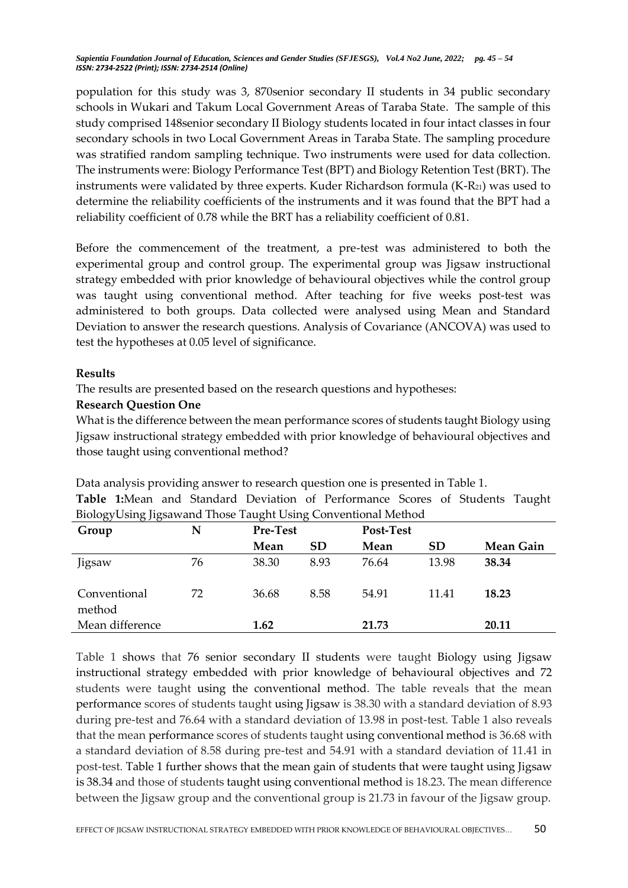population for this study was 3, 870senior secondary II students in 34 public secondary schools in Wukari and Takum Local Government Areas of Taraba State. The sample of this study comprised 148senior secondary II Biology students located in four intact classes in four secondary schools in two Local Government Areas in Taraba State. The sampling procedure was stratified random sampling technique. Two instruments were used for data collection. The instruments were: Biology Performance Test (BPT) and Biology Retention Test (BRT). The instruments were validated by three experts. Kuder Richardson formula (K-R<sub>21</sub>) was used to determine the reliability coefficients of the instruments and it was found that the BPT had a reliability coefficient of 0.78 while the BRT has a reliability coefficient of 0.81.

Before the commencement of the treatment, a pre-test was administered to both the experimental group and control group. The experimental group was Jigsaw instructional strategy embedded with prior knowledge of behavioural objectives while the control group was taught using conventional method. After teaching for five weeks post-test was administered to both groups. Data collected were analysed using Mean and Standard Deviation to answer the research questions. Analysis of Covariance (ANCOVA) was used to test the hypotheses at 0.05 level of significance.

## **Results**

The results are presented based on the research questions and hypotheses:

#### **Research Question One**

What is the difference between the mean performance scores of students taught Biology using Jigsaw instructional strategy embedded with prior knowledge of behavioural objectives and those taught using conventional method?

| Biology Using Jigsawand Those Taught Using Conventional Method |    |                 |           |       |           |           |  |
|----------------------------------------------------------------|----|-----------------|-----------|-------|-----------|-----------|--|
| Group                                                          | N  | <b>Pre-Test</b> |           |       | Post-Test |           |  |
|                                                                |    | Mean            | <b>SD</b> | Mean  | <b>SD</b> | Mean Gain |  |
| Jigsaw                                                         | 76 | 38.30           | 8.93      | 76.64 | 13.98     | 38.34     |  |
| Conventional<br>method                                         | 72 | 36.68           | 8.58      | 54.91 | 11.41     | 18.23     |  |
| Mean difference                                                |    | 1.62            |           | 21.73 |           | 20.11     |  |

Data analysis providing answer to research question one is presented in Table 1. **Table 1:**Mean and Standard Deviation of Performance Scores of Students Taught

Table 1 shows that 76 senior secondary II students were taught Biology using Jigsaw instructional strategy embedded with prior knowledge of behavioural objectives and 72 students were taught using the conventional method. The table reveals that the mean performance scores of students taught using Jigsaw is 38.30 with a standard deviation of 8.93 during pre-test and 76.64 with a standard deviation of 13.98 in post-test. Table 1 also reveals that the mean performance scores of students taught using conventional method is 36.68 with a standard deviation of 8.58 during pre-test and 54.91 with a standard deviation of 11.41 in post-test. Table 1 further shows that the mean gain of students that were taught using Jigsaw is 38.34 and those of students taught using conventional method is 18.23. The mean difference between the Jigsaw group and the conventional group is 21.73 in favour of the Jigsaw group.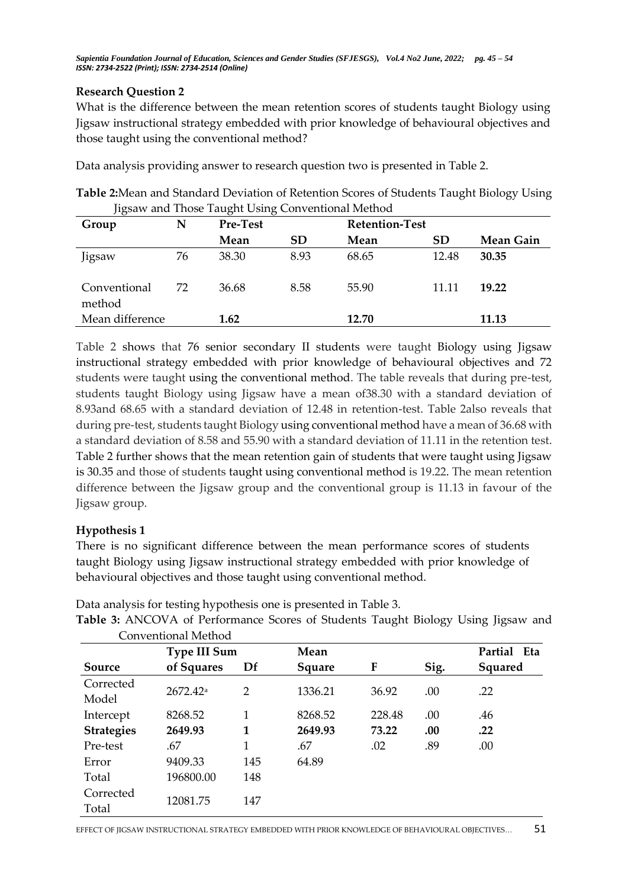# **Research Question 2**

What is the difference between the mean retention scores of students taught Biology using Jigsaw instructional strategy embedded with prior knowledge of behavioural objectives and those taught using the conventional method?

Data analysis providing answer to research question two is presented in Table 2.

**Table 2:**Mean and Standard Deviation of Retention Scores of Students Taught Biology Using Jigsaw and Those Taught Using Conventional Method

| $7 - 7 - 7$            |    |                 |           |       |                       |           |  |
|------------------------|----|-----------------|-----------|-------|-----------------------|-----------|--|
| Group                  | N  | <b>Pre-Test</b> |           |       | <b>Retention-Test</b> |           |  |
|                        |    | Mean            | <b>SD</b> | Mean  | SD                    | Mean Gain |  |
| Jigsaw                 | 76 | 38.30           | 8.93      | 68.65 | 12.48                 | 30.35     |  |
| Conventional<br>method | 72 | 36.68           | 8.58      | 55.90 | 11.11                 | 19.22     |  |
| Mean difference        |    | 1.62            |           | 12.70 |                       | 11.13     |  |

Table 2 shows that 76 senior secondary II students were taught Biology using Jigsaw instructional strategy embedded with prior knowledge of behavioural objectives and 72 students were taught using the conventional method. The table reveals that during pre-test, students taught Biology using Jigsaw have a mean of38.30 with a standard deviation of 8.93and 68.65 with a standard deviation of 12.48 in retention-test. Table 2also reveals that during pre-test, students taught Biology using conventional method have a mean of 36.68 with a standard deviation of 8.58 and 55.90 with a standard deviation of 11.11 in the retention test. Table 2 further shows that the mean retention gain of students that were taught using Jigsaw is 30.35 and those of students taught using conventional method is 19.22. The mean retention difference between the Jigsaw group and the conventional group is 11.13 in favour of the Jigsaw group.

# **Hypothesis 1**

There is no significant difference between the mean performance scores of students taught Biology using Jigsaw instructional strategy embedded with prior knowledge of behavioural objectives and those taught using conventional method.

Data analysis for testing hypothesis one is presented in Table 3.

| Conventional Method |                     |     |         |             |      |                |  |  |
|---------------------|---------------------|-----|---------|-------------|------|----------------|--|--|
|                     | <b>Type III Sum</b> |     | Mean    | Partial Eta |      |                |  |  |
| Source              | of Squares          | Df  | Square  | F           | Sig. | <b>Squared</b> |  |  |
| Corrected<br>Model  | $2672.42^a$         | 2   | 1336.21 | 36.92       | .00  | .22            |  |  |
| Intercept           | 8268.52             | 1   | 8268.52 | 228.48      | .00  | .46            |  |  |
| <b>Strategies</b>   | 2649.93             | 1   | 2649.93 | 73.22       | .00. | .22            |  |  |
| Pre-test            | .67                 | 1   | .67     | .02         | .89  | .00            |  |  |
| Error               | 9409.33             | 145 | 64.89   |             |      |                |  |  |
| Total               | 196800.00           | 148 |         |             |      |                |  |  |
| Corrected<br>Total  | 12081.75            | 147 |         |             |      |                |  |  |

Table 3: ANCOVA of Performance Scores of Students Taught Biology Using Jigsaw and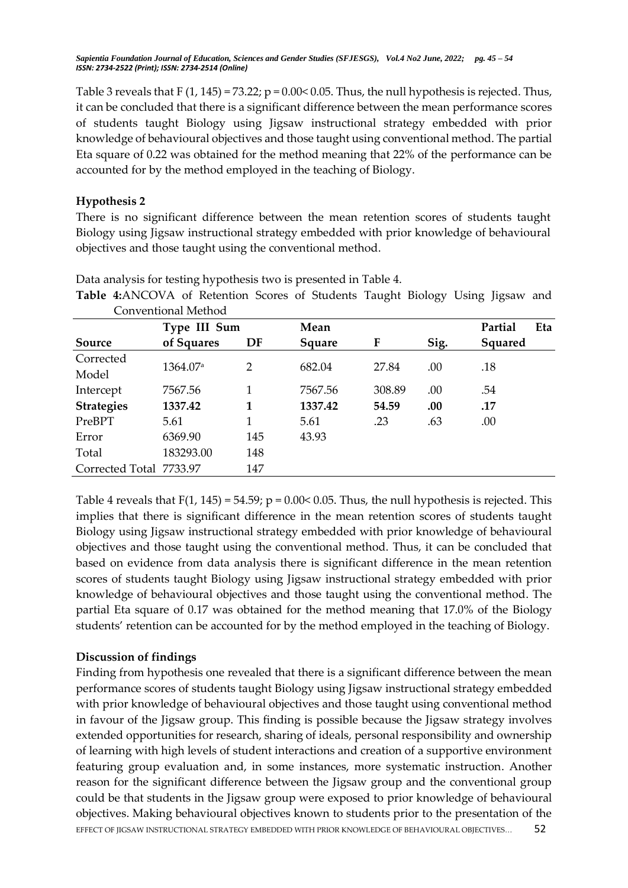Table 3 reveals that F  $(1, 145) = 73.22$ ;  $p = 0.00 < 0.05$ . Thus, the null hypothesis is rejected. Thus, it can be concluded that there is a significant difference between the mean performance scores of students taught Biology using Jigsaw instructional strategy embedded with prior knowledge of behavioural objectives and those taught using conventional method. The partial Eta square of 0.22 was obtained for the method meaning that 22% of the performance can be accounted for by the method employed in the teaching of Biology.

## **Hypothesis 2**

There is no significant difference between the mean retention scores of students taught Biology using Jigsaw instructional strategy embedded with prior knowledge of behavioural objectives and those taught using the conventional method.

| Conventional Method     |                      |                |         |        |         |                |  |  |
|-------------------------|----------------------|----------------|---------|--------|---------|----------------|--|--|
|                         | Type III Sum         |                | Mean    |        | Partial | Eta            |  |  |
| Source                  | of Squares           | DF             | Square  | F      | Sig.    | <b>Squared</b> |  |  |
| Corrected               |                      | $\overline{2}$ |         |        |         |                |  |  |
| Model                   | 1364.07 <sup>a</sup> |                | 682.04  | 27.84  | .00     | .18            |  |  |
| Intercept               | 7567.56              |                | 7567.56 | 308.89 | .00     | .54            |  |  |
| <b>Strategies</b>       | 1337.42              | 1              | 1337.42 | 54.59  | .00     | .17            |  |  |
| PreBPT                  | 5.61                 |                | 5.61    | .23    | .63     | .00            |  |  |
| Error                   | 6369.90              | 145            | 43.93   |        |         |                |  |  |
| Total                   | 183293.00            | 148            |         |        |         |                |  |  |
| Corrected Total 7733.97 |                      | 147            |         |        |         |                |  |  |

Data analysis for testing hypothesis two is presented in Table 4.

Table 4:ANCOVA of Retention Scores of Students Taught Biology Using Jigsaw and Conventional Method

Table 4 reveals that  $F(1, 145) = 54.59$ ;  $p = 0.00 < 0.05$ . Thus, the null hypothesis is rejected. This implies that there is significant difference in the mean retention scores of students taught Biology using Jigsaw instructional strategy embedded with prior knowledge of behavioural objectives and those taught using the conventional method. Thus, it can be concluded that based on evidence from data analysis there is significant difference in the mean retention scores of students taught Biology using Jigsaw instructional strategy embedded with prior knowledge of behavioural objectives and those taught using the conventional method. The partial Eta square of 0.17 was obtained for the method meaning that 17.0% of the Biology students' retention can be accounted for by the method employed in the teaching of Biology.

# **Discussion of findings**

EFFECT OF JIGSAW INSTRUCTIONAL STRATEGY EMBEDDED WITH PRIOR KNOWLEDGE OF BEHAVIOURAL OBJECTIVES... 52 Finding from hypothesis one revealed that there is a significant difference between the mean performance scores of students taught Biology using Jigsaw instructional strategy embedded with prior knowledge of behavioural objectives and those taught using conventional method in favour of the Jigsaw group. This finding is possible because the Jigsaw strategy involves extended opportunities for research, sharing of ideals, personal responsibility and ownership of learning with high levels of student interactions and creation of a supportive environment featuring group evaluation and, in some instances, more systematic instruction. Another reason for the significant difference between the Jigsaw group and the conventional group could be that students in the Jigsaw group were exposed to prior knowledge of behavioural objectives. Making behavioural objectives known to students prior to the presentation of the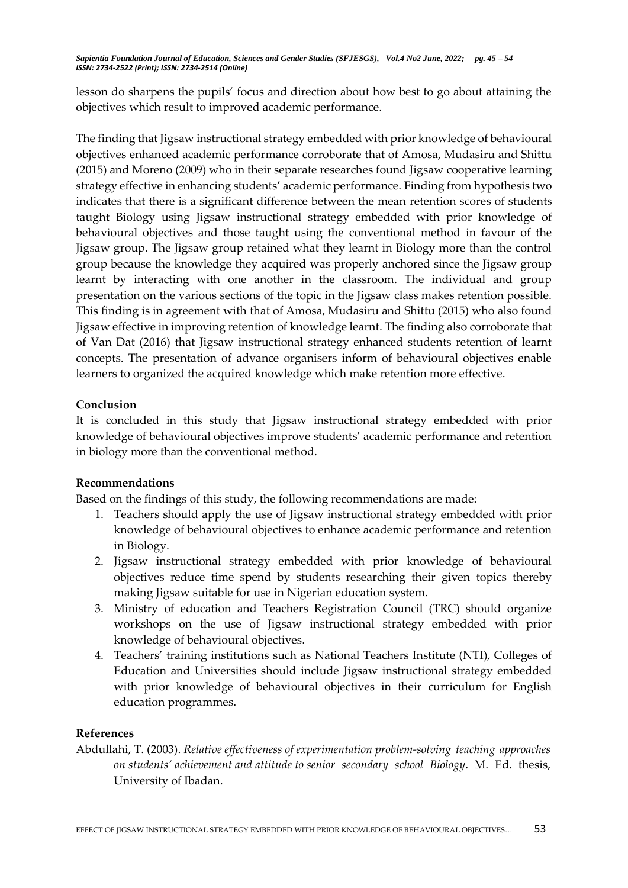lesson do sharpens the pupils' focus and direction about how best to go about attaining the objectives which result to improved academic performance.

The finding that Jigsaw instructional strategy embedded with prior knowledge of behavioural objectives enhanced academic performance corroborate that of Amosa, Mudasiru and Shittu (2015) and Moreno (2009) who in their separate researches found Jigsaw cooperative learning strategy effective in enhancing students' academic performance. Finding from hypothesis two indicates that there is a significant difference between the mean retention scores of students taught Biology using Jigsaw instructional strategy embedded with prior knowledge of behavioural objectives and those taught using the conventional method in favour of the Jigsaw group. The Jigsaw group retained what they learnt in Biology more than the control group because the knowledge they acquired was properly anchored since the Jigsaw group learnt by interacting with one another in the classroom. The individual and group presentation on the various sections of the topic in the Jigsaw class makes retention possible. This finding is in agreement with that of Amosa, Mudasiru and Shittu (2015) who also found Jigsaw effective in improving retention of knowledge learnt. The finding also corroborate that of Van Dat (2016) that Jigsaw instructional strategy enhanced students retention of learnt concepts. The presentation of advance organisers inform of behavioural objectives enable learners to organized the acquired knowledge which make retention more effective.

## **Conclusion**

It is concluded in this study that Jigsaw instructional strategy embedded with prior knowledge of behavioural objectives improve students' academic performance and retention in biology more than the conventional method.

## **Recommendations**

Based on the findings of this study, the following recommendations are made:

- 1. Teachers should apply the use of Jigsaw instructional strategy embedded with prior knowledge of behavioural objectives to enhance academic performance and retention in Biology.
- 2. Jigsaw instructional strategy embedded with prior knowledge of behavioural objectives reduce time spend by students researching their given topics thereby making Jigsaw suitable for use in Nigerian education system.
- 3. Ministry of education and Teachers Registration Council (TRC) should organize workshops on the use of Jigsaw instructional strategy embedded with prior knowledge of behavioural objectives.
- 4. Teachers' training institutions such as National Teachers Institute (NTI), Colleges of Education and Universities should include Jigsaw instructional strategy embedded with prior knowledge of behavioural objectives in their curriculum for English education programmes.

#### **References**

Abdullahi, T. (2003). *Relative effectiveness of experimentation problem-solving teaching approaches on students' achievement and attitude to senior secondary school Biology*. M. Ed. thesis, University of Ibadan.